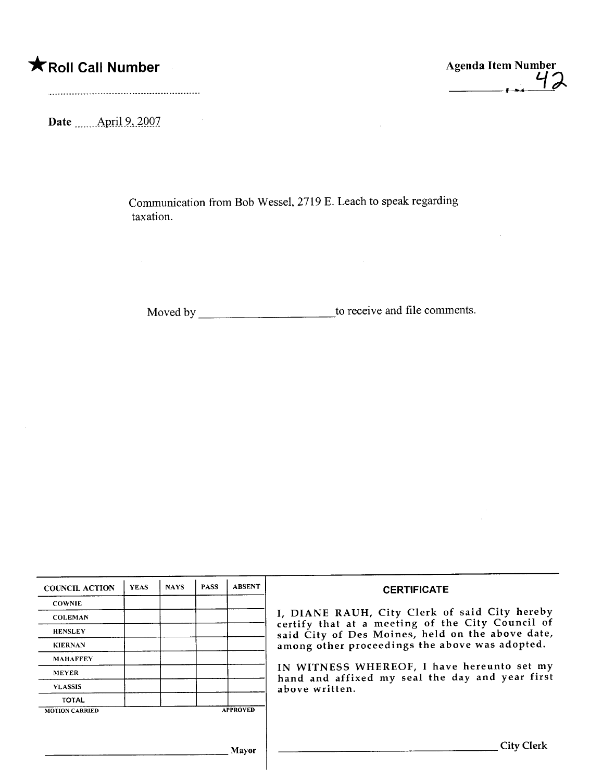## **\*** Roll Call Number Agenda Item Number

 $\frac{7}{6}$ 

Date <u>\_\_\_\_\_</u>April 9, 2007

Communication from Bob Wessel, 2719 E. Leach to speak regarding taxation.

Moved by to receive and file comments.

| <b>COUNCIL ACTION</b> | <b>YEAS</b> | <b>NAYS</b> | <b>PASS</b> | <b>ABSENT</b>   | <b>CERTIFICATE</b>                                                                                                                                                                                                    |  |  |  |  |
|-----------------------|-------------|-------------|-------------|-----------------|-----------------------------------------------------------------------------------------------------------------------------------------------------------------------------------------------------------------------|--|--|--|--|
| <b>COWNIE</b>         |             |             |             |                 |                                                                                                                                                                                                                       |  |  |  |  |
| <b>COLEMAN</b>        |             |             |             |                 | I, DIANE RAUH, City Clerk of said City hereby<br>certify that at a meeting of the City Council of                                                                                                                     |  |  |  |  |
| <b>HENSLEY</b>        |             |             |             |                 | said City of Des Moines, held on the above date,<br>among other proceedings the above was adopted.<br>IN WITNESS WHEREOF, I have hereunto set my<br>hand and affixed my seal the day and year first<br>above written. |  |  |  |  |
| <b>KIERNAN</b>        |             |             |             |                 |                                                                                                                                                                                                                       |  |  |  |  |
| <b>MAHAFFEY</b>       |             |             |             |                 |                                                                                                                                                                                                                       |  |  |  |  |
| <b>MEYER</b>          |             |             |             |                 |                                                                                                                                                                                                                       |  |  |  |  |
| <b>VLASSIS</b>        |             |             |             |                 |                                                                                                                                                                                                                       |  |  |  |  |
| <b>TOTAL</b>          |             |             |             |                 |                                                                                                                                                                                                                       |  |  |  |  |
| <b>MOTION CARRIED</b> |             |             |             | <b>APPROVED</b> |                                                                                                                                                                                                                       |  |  |  |  |
|                       |             |             |             |                 |                                                                                                                                                                                                                       |  |  |  |  |
|                       |             |             |             | Mayor           | City Clerk                                                                                                                                                                                                            |  |  |  |  |